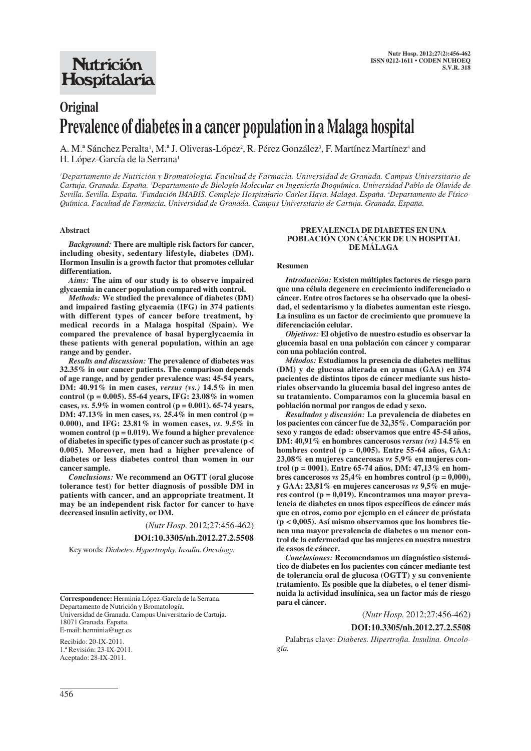# **Original Prevalence of diabetes in a cancer population in a Malaga hospital**

A. M.ª Sánchez Peralta<sup>1</sup>, M.ª J. Oliveras-López<sup>2</sup>, R. Pérez González<sup>3</sup>, F. Martínez Martínez<sup>4</sup> and H. López-García de la Serrana<sup>1</sup>

*1 Departamento de Nutrición y Bromatología. Facultad de Farmacia. Universidad de Granada. Campus Universitario de Cartuja. Granada. España. <sup>2</sup> Departamento de Biología Molecular en Ingeniería Bioquímica. Universidad Pablo de Olavide de Sevilla. Sevilla. España. 3 Fundación IMABIS. Complejo Hospitalario Carlos Haya. Malaga. España. 4 Departamento de Físico-Química. Facultad de Farmacia. Universidad de Granada. Campus Universitario de Cartuja. Granada. España.*

## **Abstract**

*Background:* **There are multiple risk factors for cancer, including obesity, sedentary lifestyle, diabetes (DM). Hormon Insulin is a growth factor that promotes cellular differentiation.**

*Aims:* **The aim of our study is to observe impaired glycaemia in cancer population compared with control.** 

*Methods:* **We studied the prevalence of diabetes (DM) and impaired fasting glycaemia (IFG) in 374 patients with different types of cancer before treatment, by medical records in a Malaga hospital (Spain). We compared the prevalence of basal hyperglycaemia in these patients with general population, within an age range and by gender.** 

*Results and discussion:* **The prevalence of diabetes was 32.35% in our cancer patients. The comparison depends of age range, and by gender prevalence was: 45-54 years, DM: 40.91% in men cases,** *versus (vs.)* **14.5% in men control (p = 0.005). 55-64 years, IFG: 23.08% in women cases,** *vs.* **5.9% in women control (p = 0.001). 65-74 years, DM: 47.13% in men cases,** *vs.* **25.4% in men control (p = 0.000), and IFG: 23.81% in women cases,** *vs.* **9.5% in women control (p = 0.019). We found a higher prevalence of diabetes in specific types of cancer such as prostate (p < 0.005). Moreover, men had a higher prevalence of diabetes or less diabetes control than women in our cancer sample.** 

*Conclusions:* **We recommend an OGTT (oral glucose tolerance test) for better diagnosis of possible DM in patients with cancer, and an appropriate treatment. It may be an independent risk factor for cancer to have decreased insulin activity, or DM.**

(*Nutr Hosp.* 2012;27:456-462)

#### **DOI:10.3305/nh.2012.27.2.5508**

Key words: *Diabetes. Hypertrophy. Insulin. Oncology.*

**Correspondence:** Herminia López-García de la Serrana. Departamento de Nutrición y Bromatología. Universidad de Granada. Campus Universitario de Cartuja. 18071 Granada. España. E-mail: herminia@ugr.es

Recibido: 20-IX-2011. 1.ª Revisión: 23-IX-2011. Aceptado: 28-IX-2011.

#### **PREVALENCIA DE DIABETES EN UNA POBLACIÓN CON CÁNCER DE UN HOSPITAL DE MÁLAGA**

#### **Resumen**

*Introducción:* **Existen múltiples factores de riesgo para que una célula degenere en crecimiento indiferenciado o cáncer. Entre otros factores se ha observado que la obesidad, el sedentarismo y la diabetes aumentan este riesgo. La insulina es un factor de crecimiento que promueve la diferenciación celular.** 

*Objetivos:* **El objetivo de nuestro estudio es observar la glucemia basal en una población con cáncer y comparar con una población control.** 

*Métodos:* **Estudiamos la presencia de diabetes mellitus (DM) y de glucosa alterada en ayunas (GAA) en 374 pacientes de distintos tipos de cáncer mediante sus historiales observando la glucemia basal del ingreso antes de su tratamiento. Comparamos con la glucemia basal en población normal por rangos de edad y sexo.** 

*Resultados y discusión:* **La prevalencia de diabetes en los pacientes con cáncer fue de 32,35%. Comparación por sexo y rangos de edad: observamos que entre 45-54 años, DM: 40,91% en hombres cancerosos** *versus (vs)* **14.5% en hombres control (p = 0,005). Entre 55-64 años, GAA: 23,08% en mujeres cancerosas** *vs* **5,9% en mujeres control (p = 0001). Entre 65-74 años, DM: 47,13% en hom**bres cancerosos *vs*  $25.4\%$  en hombres control ( $p = 0.000$ ), **y GAA: 23,81% en mujeres cancerosas** *vs* **9,5% en mujeres control (p = 0,019). Encontramos una mayor prevalencia de diabetes en unos tipos específicos de cáncer más que en otros, como por ejemplo en el cáncer de próstata (p < 0,005). Así mismo observamos que los hombres tienen una mayor prevalencia de diabetes o un menor control de la enfermedad que las mujeres en nuestra muestra de casos de cáncer.** 

*Conclusiones:* **Recomendamos un diagnóstico sistemático de diabetes en los pacientes con cáncer mediante test de tolerancia oral de glucosa (OGTT) y su conveniente tratamiento. Es posible que la diabetes, o el tener disminuida la actividad insulínica, sea un factor más de riesgo para el cáncer.**

(*Nutr Hosp.* 2012;27:456-462)

#### **DOI:10.3305/nh.2012.27.2.5508**

Palabras clave: *Diabetes. Hipertrofia. Insulina. Oncología.*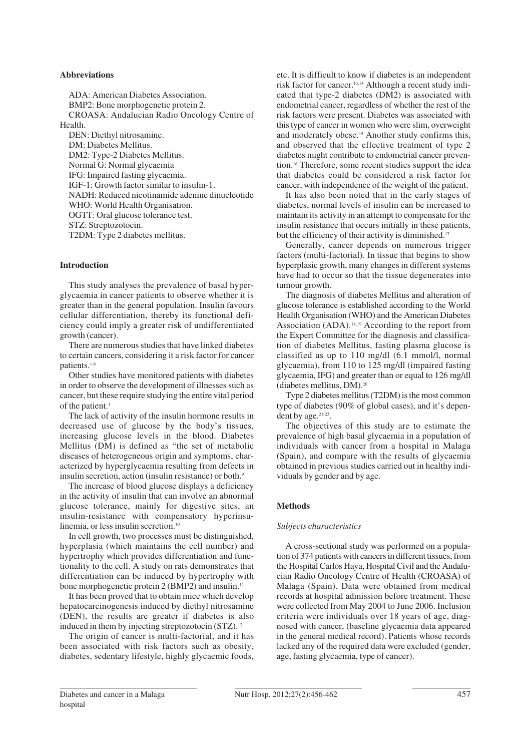# **Abbreviations**

ADA: American Diabetes Association. BMP2: Bone morphogenetic protein 2. CROASA: Andalucian Radio Oncology Centre of Health.

DEN: Diethyl nitrosamine. DM: Diabetes Mellitus. DM2: Type-2 Diabetes Mellitus. Normal G: Normal glycaemia IFG: Impaired fasting glycaemia. IGF-1: Growth factor similar to insulin-1. NADH: Reduced nicotinamide adenine dinucleotide WHO: World Health Organisation. OGTT: Oral glucose tolerance test. STZ: Streptozotocin. T2DM: Type 2 diabetes mellitus.

### **Introduction**

This study analyses the prevalence of basal hyperglycaemia in cancer patients to observe whether it is greater than in the general population. Insulin favours cellular differentiation, thereby its functional deficiency could imply a greater risk of undifferentiated growth (cancer).

There are numerous studies that have linked diabetes to certain cancers, considering it a risk factor for cancer patients.1-8

Other studies have monitored patients with diabetes in order to observe the development of illnesses such as cancer, but these require studying the entire vital period of the patient.<sup>1</sup>

The lack of activity of the insulin hormone results in decreased use of glucose by the body's tissues, increasing glucose levels in the blood. Diabetes Mellitus (DM) is defined as "the set of metabolic diseases of heterogeneous origin and symptoms, characterized by hyperglycaemia resulting from defects in insulin secretion, action (insulin resistance) or both.<sup>9</sup>

The increase of blood glucose displays a deficiency in the activity of insulin that can involve an abnormal glucose tolerance, mainly for digestive sites, an insulin-resistance with compensatory hyperinsulinemia, or less insulin secretion.<sup>10</sup>

In cell growth, two processes must be distinguished, hyperplasia (which maintains the cell number) and hypertrophy which provides differentiation and functionality to the cell. A study on rats demonstrates that differentiation can be induced by hypertrophy with bone morphogenetic protein 2 (BMP2) and insulin.<sup>11</sup>

It has been proved that to obtain mice which develop hepatocarcinogenesis induced by diethyl nitrosamine (DEN), the results are greater if diabetes is also induced in them by injecting streptozotocin (STZ).12

The origin of cancer is multi-factorial, and it has been associated with risk factors such as obesity, diabetes, sedentary lifestyle, highly glycaemic foods, etc. It is difficult to know if diabetes is an independent risk factor for cancer.13,14 Although a recent study indicated that type-2 diabetes (DM2) is associated with endometrial cancer, regardless of whether the rest of the risk factors were present. Diabetes was associated with this type of cancer in women who were slim, overweight and moderately obese.<sup>15</sup> Another study confirms this, and observed that the effective treatment of type 2 diabetes might contribute to endometrial cancer prevention.16 Therefore, some recent studies support the idea that diabetes could be considered a risk factor for cancer, with independence of the weight of the patient.

It has also been noted that in the early stages of diabetes, normal levels of insulin can be increased to maintain its activity in an attempt to compensate for the insulin resistance that occurs initially in these patients, but the efficiency of their activity is diminished.<sup>17</sup>

Generally, cancer depends on numerous trigger factors (multi-factorial). In tissue that begins to show hyperplasic growth, many changes in different systems have had to occur so that the tissue degenerates into tumour growth.

The diagnosis of diabetes Mellitus and alteration of glucose tolerance is established according to the World Health Organisation (WHO) and the American Diabetes Association (ADA).<sup>18,19</sup> According to the report from the Expert Committee for the diagnosis and classification of diabetes Mellitus, fasting plasma glucose is classified as up to 110 mg/dl (6.1 mmol/l, normal glycaemia), from 110 to 125 mg/dl (impaired fasting glycaemia, IFG) and greater than or equal to 126 mg/dl (diabetes mellitus, DM).20

Type 2 diabetes mellitus (T2DM) is the most common type of diabetes (90% of global cases), and it's dependent by age.21-23.

The objectives of this study are to estimate the prevalence of high basal glycaemia in a population of individuals with cancer from a hospital in Malaga (Spain), and compare with the results of glycaemia obtained in previous studies carried out in healthy individuals by gender and by age.

# **Methods**

# *Subjects characteristics*

A cross-sectional study was performed on a population of 374 patients with cancers in different tissues, from the Hospital Carlos Haya, Hospital Civil and the Andalucian Radio Oncology Centre of Health (CROASA) of Malaga (Spain). Data were obtained from medical records at hospital admission before treatment. These were collected from May 2004 to June 2006. Inclusion criteria were individuals over 18 years of age, diagnosed with cancer, (baseline glycaemia data appeared in the general medical record). Patients whose records lacked any of the required data were excluded (gender, age, fasting glycaemia, type of cancer).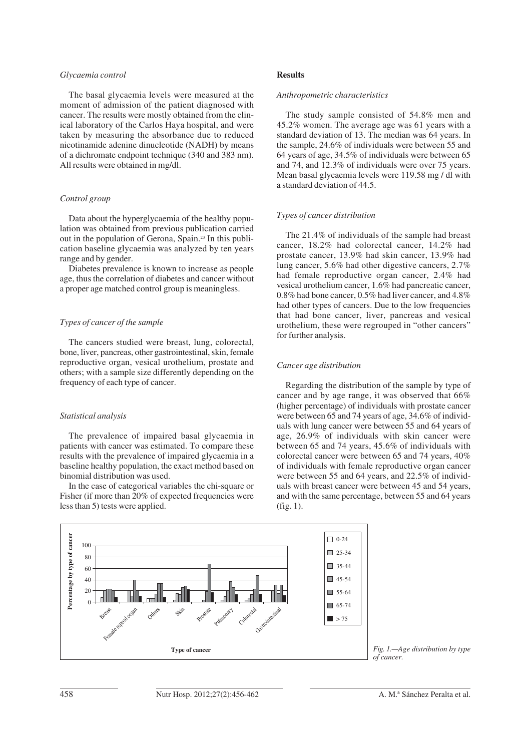### *Glycaemia control*

The basal glycaemia levels were measured at the moment of admission of the patient diagnosed with cancer. The results were mostly obtained from the clinical laboratory of the Carlos Haya hospital, and were taken by measuring the absorbance due to reduced nicotinamide adenine dinucleotide (NADH) by means of a dichromate endpoint technique (340 and 383 nm). All results were obtained in mg/dl.

# *Control group*

Data about the hyperglycaemia of the healthy population was obtained from previous publication carried out in the population of Gerona, Spain.23 In this publication baseline glycaemia was analyzed by ten years range and by gender.

Diabetes prevalence is known to increase as people age, thus the correlation of diabetes and cancer without a proper age matched control group is meaningless.

# *Types of cancer of the sample*

The cancers studied were breast, lung, colorectal, bone, liver, pancreas, other gastrointestinal, skin, female reproductive organ, vesical urothelium, prostate and others; with a sample size differently depending on the frequency of each type of cancer.

# *Statistical analysis*

The prevalence of impaired basal glycaemia in patients with cancer was estimated. To compare these results with the prevalence of impaired glycaemia in a baseline healthy population, the exact method based on binomial distribution was used.

In the case of categorical variables the chi-square or Fisher (if more than 20% of expected frequencies were less than 5) tests were applied.

#### **Results**

## *Anthropometric characteristics*

The study sample consisted of 54.8% men and 45.2% women. The average age was 61 years with a standard deviation of 13. The median was 64 years. In the sample, 24.6% of individuals were between 55 and 64 years of age, 34.5% of individuals were between 65 and 74, and 12.3% of individuals were over 75 years. Mean basal glycaemia levels were 119.58 mg / dl with a standard deviation of 44.5.

# *Types of cancer distribution*

The 21.4% of individuals of the sample had breast cancer, 18.2% had colorectal cancer, 14.2% had prostate cancer, 13.9% had skin cancer, 13.9% had lung cancer, 5.6% had other digestive cancers, 2.7% had female reproductive organ cancer, 2.4% had vesical urothelium cancer, 1.6% had pancreatic cancer, 0.8% had bone cancer, 0.5% had liver cancer, and 4.8% had other types of cancers. Due to the low frequencies that had bone cancer, liver, pancreas and vesical urothelium, these were regrouped in "other cancers" for further analysis.

# *Cancer age distribution*

Regarding the distribution of the sample by type of cancer and by age range, it was observed that 66% (higher percentage) of individuals with prostate cancer were between 65 and 74 years of age, 34.6% of individuals with lung cancer were between 55 and 64 years of age, 26.9% of individuals with skin cancer were between 65 and 74 years, 45.6% of individuals with colorectal cancer were between 65 and 74 years, 40% of individuals with female reproductive organ cancer were between 55 and 64 years, and 22.5% of individuals with breast cancer were between 45 and 54 years, and with the same percentage, between 55 and 64 years (fig. 1).



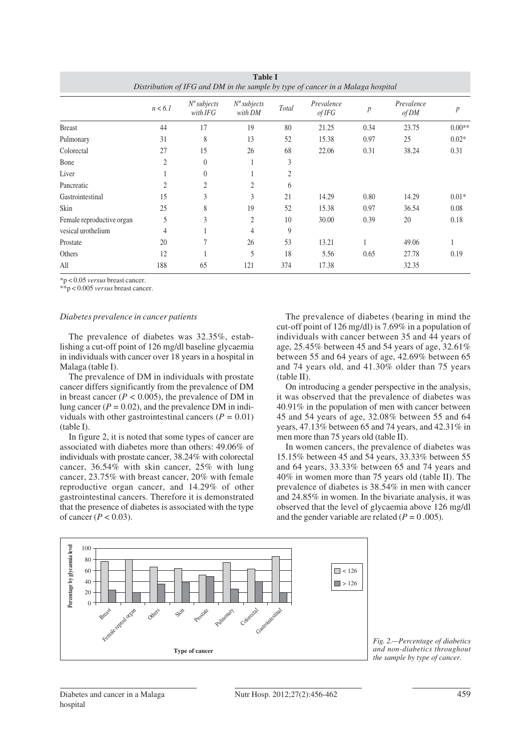| Distribution of IFG and DM in the sample by type of cancer in a Malaga hospital |         |                            |                           |       |                      |                  |                     |                  |  |  |
|---------------------------------------------------------------------------------|---------|----------------------------|---------------------------|-------|----------------------|------------------|---------------------|------------------|--|--|
|                                                                                 | n < 6.1 | $N^o$ subjects<br>with IFG | $N^o$ subjects<br>with DM | Total | Prevalence<br>of IFG | $\boldsymbol{p}$ | Prevalence<br>of DM | $\boldsymbol{p}$ |  |  |
| <b>Breast</b>                                                                   | 44      | 17                         | 19                        | 80    | 21.25                | 0.34             | 23.75               | $0.00**$         |  |  |
| Pulmonary                                                                       | 31      | 8                          | 13                        | 52    | 15.38                | 0.97             | 25                  | $0.02*$          |  |  |
| Colorectal                                                                      | 27      | 15                         | 26                        | 68    | 22.06                | 0.31             | 38.24               | 0.31             |  |  |
| Bone                                                                            | 2       | $\theta$                   |                           | 3     |                      |                  |                     |                  |  |  |
| Liver                                                                           |         | $\theta$                   |                           | 2     |                      |                  |                     |                  |  |  |
| Pancreatic                                                                      | 2       | $\overline{2}$             | 2                         | 6     |                      |                  |                     |                  |  |  |
| Gastrointestinal                                                                | 15      | 3                          | 3                         | 21    | 14.29                | 0.80             | 14.29               | $0.01*$          |  |  |
| Skin                                                                            | 25      | 8                          | 19                        | 52    | 15.38                | 0.97             | 36.54               | 0.08             |  |  |
| Female reproductive organ                                                       | 5       | 3                          | $\overline{c}$            | 10    | 30.00                | 0.39             | 20                  | 0.18             |  |  |
| vesical urothelium                                                              | 4       |                            | 4                         | 9     |                      |                  |                     |                  |  |  |
| Prostate                                                                        | 20      | 7                          | 26                        | 53    | 13.21                |                  | 49.06               |                  |  |  |
| Others                                                                          | 12      |                            | 5                         | 18    | 5.56                 | 0.65             | 27.78               | 0.19             |  |  |
| All                                                                             | 188     | 65                         | 121                       | 374   | 17.38                |                  | 32.35               |                  |  |  |

**Table I**

\*p < 0.05 *versus* breast cancer.

\*\*p < 0.005 *versus* breast cancer.

# *Diabetes prevalence in cancer patients*

The prevalence of diabetes was 32.35%, establishing a cut-off point of 126 mg/dl baseline glycaemia in individuals with cancer over 18 years in a hospital in Malaga (table I).

The prevalence of DM in individuals with prostate cancer differs significantly from the prevalence of DM in breast cancer  $(P < 0.005)$ , the prevalence of DM in lung cancer  $(P = 0.02)$ , and the prevalence DM in individuals with other gastrointestinal cancers (*P =* 0.01) (table I).

In figure 2, it is noted that some types of cancer are associated with diabetes more than others: 49.06% of individuals with prostate cancer, 38.24% with colorectal cancer, 36.54% with skin cancer, 25% with lung cancer, 23.75% with breast cancer, 20% with female reproductive organ cancer, and 14.29% of other gastrointestinal cancers. Therefore it is demonstrated that the presence of diabetes is associated with the type of cancer (*P <* 0.03).

The prevalence of diabetes (bearing in mind the cut-off point of 126 mg/dl) is 7.69% in a population of individuals with cancer between 35 and 44 years of age, 25.45% between 45 and 54 years of age, 32.61% between 55 and 64 years of age, 42.69% between 65 and 74 years old, and 41.30% older than 75 years (table II).

On introducing a gender perspective in the analysis, it was observed that the prevalence of diabetes was 40.91% in the population of men with cancer between 45 and 54 years of age, 32.08% between 55 and 64 years, 47.13% between 65 and 74 years, and 42.31% in men more than 75 years old (table II).

In women cancers, the prevalence of diabetes was 15.15% between 45 and 54 years, 33.33% between 55 and 64 years, 33.33% between 65 and 74 years and 40% in women more than 75 years old (table II). The prevalence of diabetes is 38.54% in men with cancer and 24.85% in women. In the bivariate analysis, it was observed that the level of glycaemia above 126 mg/dl and the gender variable are related (*P =* 0 .005).



*Fig. 2.—Percentage of diabetics and non-diabetics throughout the sample by type of cancer.*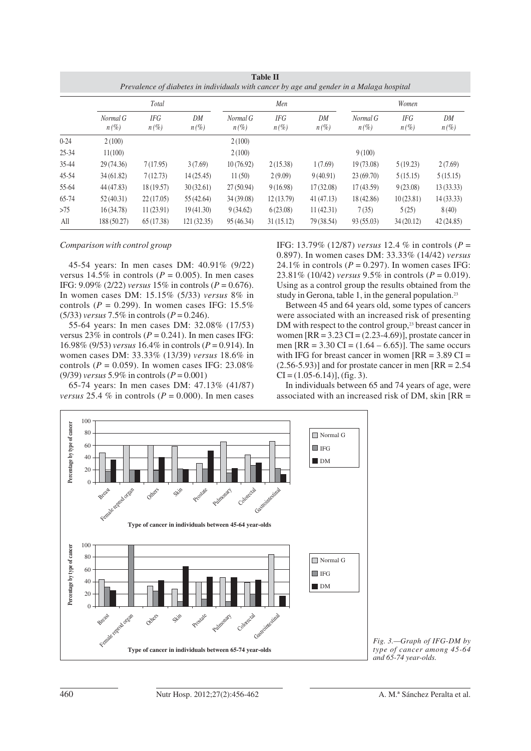| <b>Table II</b><br>Prevalence of diabetes in individuals with cancer by age and gender in a Malaga hospital |                     |                       |               |                     |                       |               |                     |                       |               |  |  |  |
|-------------------------------------------------------------------------------------------------------------|---------------------|-----------------------|---------------|---------------------|-----------------------|---------------|---------------------|-----------------------|---------------|--|--|--|
|                                                                                                             | Total               |                       |               | Men                 |                       |               | Women               |                       |               |  |  |  |
|                                                                                                             | Normal G<br>$n(\%)$ | <b>IFG</b><br>$n(\%)$ | DM<br>$n(\%)$ | Normal G<br>$n(\%)$ | <b>IFG</b><br>$n(\%)$ | DM<br>$n(\%)$ | Normal G<br>$n(\%)$ | <b>IFG</b><br>$n(\%)$ | DM<br>$n(\%)$ |  |  |  |
| $0 - 24$                                                                                                    | 2(100)              |                       |               | 2(100)              |                       |               |                     |                       |               |  |  |  |
| $25 - 34$                                                                                                   | 11(100)             |                       |               | 2(100)              |                       |               | 9(100)              |                       |               |  |  |  |
| 35-44                                                                                                       | 29 (74.36)          | 7(17.95)              | 3(7.69)       | 10(76.92)           | 2(15.38)              | 1(7.69)       | 19 (73.08)          | 5(19.23)              | 2(7.69)       |  |  |  |
| $45 - 54$                                                                                                   | 34(61.82)           | 7(12.73)              | 14(25.45)     | 11(50)              | 2(9.09)               | 9(40.91)      | 23(69.70)           | 5(15.15)              | 5(15.15)      |  |  |  |
| 55-64                                                                                                       | 44 (47.83)          | 18(19.57)             | 30(32.61)     | 27(50.94)           | 9(16.98)              | 17(32.08)     | 17(43.59)           | 9(23.08)              | 13(33.33)     |  |  |  |
| 65-74                                                                                                       | 52(40.31)           | 22(17.05)             | 55 (42.64)    | 34 (39.08)          | 12(13.79)             | 41(47.13)     | 18 (42.86)          | 10(23.81)             | 14(33.33)     |  |  |  |
| >75                                                                                                         | 16(34.78)           | 11(23.91)             | 19(41.30)     | 9(34.62)            | 6(23.08)              | 11(42.31)     | 7(35)               | 5(25)                 | 8(40)         |  |  |  |
| All                                                                                                         | 188 (50.27)         | 65 (17.38)            | 121(32.35)    | 95 (46.34)          | 31(15.12)             | 79 (38.54)    | 93 (55.03)          | 34(20.12)             | 42 (24.85)    |  |  |  |

#### *Comparison with control group*

45-54 years: In men cases DM: 40.91% (9/22) versus 14.5% in controls ( $P = 0.005$ ). In men cases IFG: 9.09% (2/22) *versus* 15% in controls (*P* = 0.676). In women cases DM: 15.15% (5/33) *versus* 8% in controls ( $P = 0.299$ ). In women cases IFG: 15.5% (5/33) *versus* 7.5% in controls (*P* = 0.246).

55-64 years: In men cases DM: 32.08% (17/53) versus  $23\%$  in controls ( $P = 0.241$ ). In men cases IFG: 16.98% (9/53) *versus* 16.4% in controls (*P* = 0.914). In women cases DM: 33.33% (13/39) *versus* 18.6% in controls ( $P = 0.059$ ). In women cases IFG: 23.08% (9/39) *versus* 5.9% in controls (*P* = 0.001)

65-74 years: In men cases DM: 47.13% (41/87) *versus* 25.4 % in controls ( $P = 0.000$ ). In men cases IFG: 13.79% (12/87) *versus* 12.4 % in controls (*P* = 0.897). In women cases DM: 33.33% (14/42) *versus* 24.1% in controls  $(P = 0.297)$ . In women cases IFG: 23.81% (10/42) *versus* 9.5% in controls (*P* = 0.019). Using as a control group the results obtained from the study in Gerona, table 1, in the general population.<sup>23</sup>

Between 45 and 64 years old, some types of cancers were associated with an increased risk of presenting DM with respect to the control group,<sup>23</sup> breast cancer in women  $[RR = 3.23 \text{ CI} = (2.23 - 4.69)]$ , prostate cancer in men  $[RR = 3.30 \text{ CI} = (1.64 - 6.65)]$ . The same occurs with IFG for breast cancer in women  $[RR = 3.89 \text{ CI} =$  $(2.56-5.93)$ ] and for prostate cancer in men [RR = 2.54]  $CI = (1.05 - 6.14)$ , (fig. 3).

In individuals between 65 and 74 years of age, were associated with an increased risk of DM, skin [RR =



*Fig. 3.—Graph of IFG-DM by type of cancer among 45-64 and 65-74 year-olds.*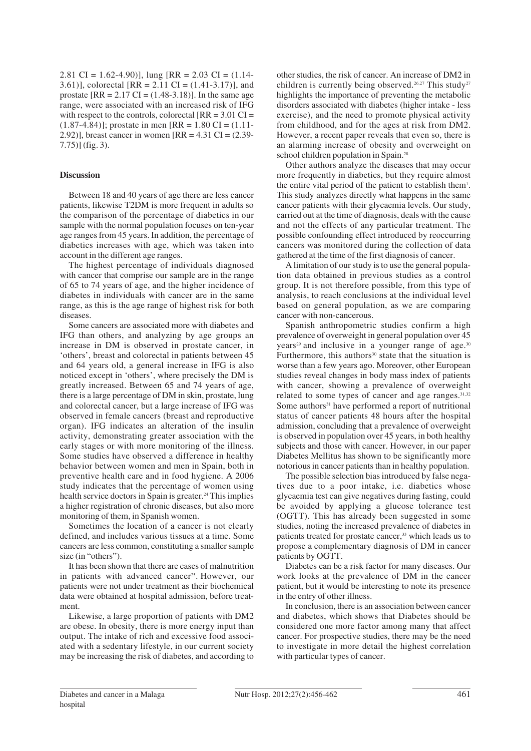2.81 CI =  $1.62 - 4.90$ ), lung  $RR = 2.03$  CI =  $(1.14 -$ 3.61)], colorectal  $[RR = 2.11 \text{ CI} = (1.41-3.17)]$ , and prostate  $[RR = 2.17 \text{ CI} = (1.48-3.18)]$ . In the same age range, were associated with an increased risk of IFG with respect to the controls, colorectal  $[RR = 3.01 \text{ CI} =$  $(1.87-4.84)$ ; prostate in men [RR = 1.80 CI =  $(1.11-$ 2.92)], breast cancer in women  $[RR = 4.31 \text{ CI} = (2.39 - 1.31 \text{ CI})$ 7.75)] (fig. 3).

# **Discussion**

Between 18 and 40 years of age there are less cancer patients, likewise T2DM is more frequent in adults so the comparison of the percentage of diabetics in our sample with the normal population focuses on ten-year age ranges from 45 years. In addition, the percentage of diabetics increases with age, which was taken into account in the different age ranges.

The highest percentage of individuals diagnosed with cancer that comprise our sample are in the range of 65 to 74 years of age, and the higher incidence of diabetes in individuals with cancer are in the same range, as this is the age range of highest risk for both diseases.

Some cancers are associated more with diabetes and IFG than others, and analyzing by age groups an increase in DM is observed in prostate cancer, in 'others', breast and colorectal in patients between 45 and 64 years old, a general increase in IFG is also noticed except in 'others', where precisely the DM is greatly increased. Between 65 and 74 years of age, there is a large percentage of DM in skin, prostate, lung and colorectal cancer, but a large increase of IFG was observed in female cancers (breast and reproductive organ). IFG indicates an alteration of the insulin activity, demonstrating greater association with the early stages or with more monitoring of the illness. Some studies have observed a difference in healthy behavior between women and men in Spain, both in preventive health care and in food hygiene. A 2006 study indicates that the percentage of women using health service doctors in Spain is greater.<sup>24</sup> This implies a higher registration of chronic diseases, but also more monitoring of them, in Spanish women.

Sometimes the location of a cancer is not clearly defined, and includes various tissues at a time. Some cancers are less common, constituting a smaller sample size (in "others").

It has been shown that there are cases of malnutrition in patients with advanced cancer<sup>25</sup>. However, our patients were not under treatment as their biochemical data were obtained at hospital admission, before treatment.

Likewise, a large proportion of patients with DM2 are obese. In obesity, there is more energy input than output. The intake of rich and excessive food associated with a sedentary lifestyle, in our current society may be increasing the risk of diabetes, and according to other studies, the risk of cancer. An increase of DM2 in children is currently being observed.<sup>26,27</sup> This study<sup>27</sup> highlights the importance of preventing the metabolic disorders associated with diabetes (higher intake - less exercise), and the need to promote physical activity from childhood, and for the ages at risk from DM2. However, a recent paper reveals that even so, there is an alarming increase of obesity and overweight on school children population in Spain.28

Other authors analyze the diseases that may occur more frequently in diabetics, but they require almost the entire vital period of the patient to establish them<sup>1</sup>. This study analyzes directly what happens in the same cancer patients with their glycaemia levels. Our study, carried out at the time of diagnosis, deals with the cause and not the effects of any particular treatment. The possible confounding effect introduced by reoccurring cancers was monitored during the collection of data gathered at the time of the first diagnosis of cancer.

A limitation of our study is to use the general population data obtained in previous studies as a control group. It is not therefore possible, from this type of analysis, to reach conclusions at the individual level based on general population, as we are comparing cancer with non-cancerous.

Spanish anthropometric studies confirm a high prevalence of overweight in general population over 45 years<sup>29</sup> and inclusive in a younger range of age.<sup>30</sup> Furthermore, this authors<sup>30</sup> state that the situation is worse than a few years ago. Moreover, other European studies reveal changes in body mass index of patients with cancer, showing a prevalence of overweight related to some types of cancer and age ranges.<sup>31,32</sup> Some authors<sup>31</sup> have performed a report of nutritional status of cancer patients 48 hours after the hospital admission, concluding that a prevalence of overweight is observed in population over 45 years, in both healthy subjects and those with cancer. However, in our paper Diabetes Mellitus has shown to be significantly more notorious in cancer patients than in healthy population.

The possible selection bias introduced by false negatives due to a poor intake, i.e. diabetics whose glycaemia test can give negatives during fasting, could be avoided by applying a glucose tolerance test (OGTT). This has already been suggested in some studies, noting the increased prevalence of diabetes in patients treated for prostate cancer,<sup>33</sup> which leads us to propose a complementary diagnosis of DM in cancer patients by OGTT.

Diabetes can be a risk factor for many diseases. Our work looks at the prevalence of DM in the cancer patient, but it would be interesting to note its presence in the entry of other illness.

In conclusion, there is an association between cancer and diabetes, which shows that Diabetes should be considered one more factor among many that affect cancer. For prospective studies, there may be the need to investigate in more detail the highest correlation with particular types of cancer.